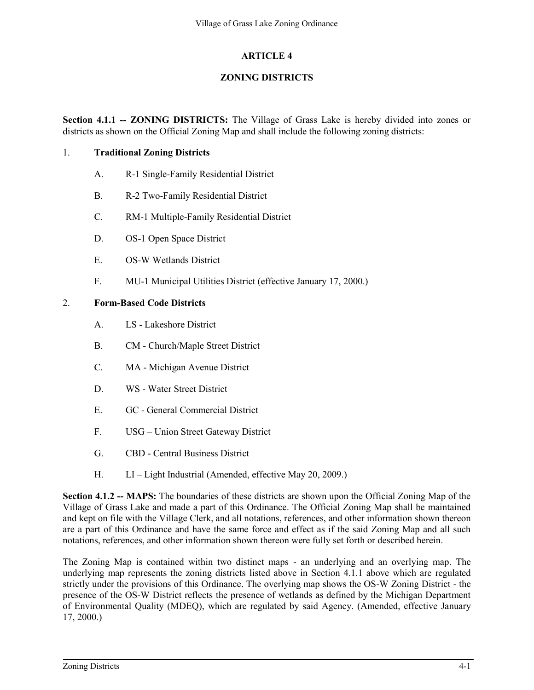## **ARTICLE 4**

## **ZONING DISTRICTS**

**Section 4.1.1 -- ZONING DISTRICTS:** The Village of Grass Lake is hereby divided into zones or districts as shown on the Official Zoning Map and shall include the following zoning districts:

## 1. **Traditional Zoning Districts**

- A. R-1 Single-Family Residential District
- B. R-2 Two-Family Residential District
- C. RM-1 Multiple-Family Residential District
- D. OS-1 Open Space District
- E. OS-W Wetlands District
- F. MU-1 Municipal Utilities District (effective January 17, 2000.)

## 2. **Form-Based Code Districts**

- A. LS Lakeshore District
- B. CM Church/Maple Street District
- C. MA Michigan Avenue District
- D. WS Water Street District
- E. GC General Commercial District
- F. USG Union Street Gateway District
- G. CBD Central Business District
- H. LI Light Industrial (Amended, effective May 20, 2009.)

**Section 4.1.2 -- MAPS:** The boundaries of these districts are shown upon the Official Zoning Map of the Village of Grass Lake and made a part of this Ordinance. The Official Zoning Map shall be maintained and kept on file with the Village Clerk, and all notations, references, and other information shown thereon are a part of this Ordinance and have the same force and effect as if the said Zoning Map and all such notations, references, and other information shown thereon were fully set forth or described herein.

The Zoning Map is contained within two distinct maps - an underlying and an overlying map. The underlying map represents the zoning districts listed above in Section 4.1.1 above which are regulated strictly under the provisions of this Ordinance. The overlying map shows the OS-W Zoning District - the presence of the OS-W District reflects the presence of wetlands as defined by the Michigan Department of Environmental Quality (MDEQ), which are regulated by said Agency. (Amended, effective January 17, 2000.)